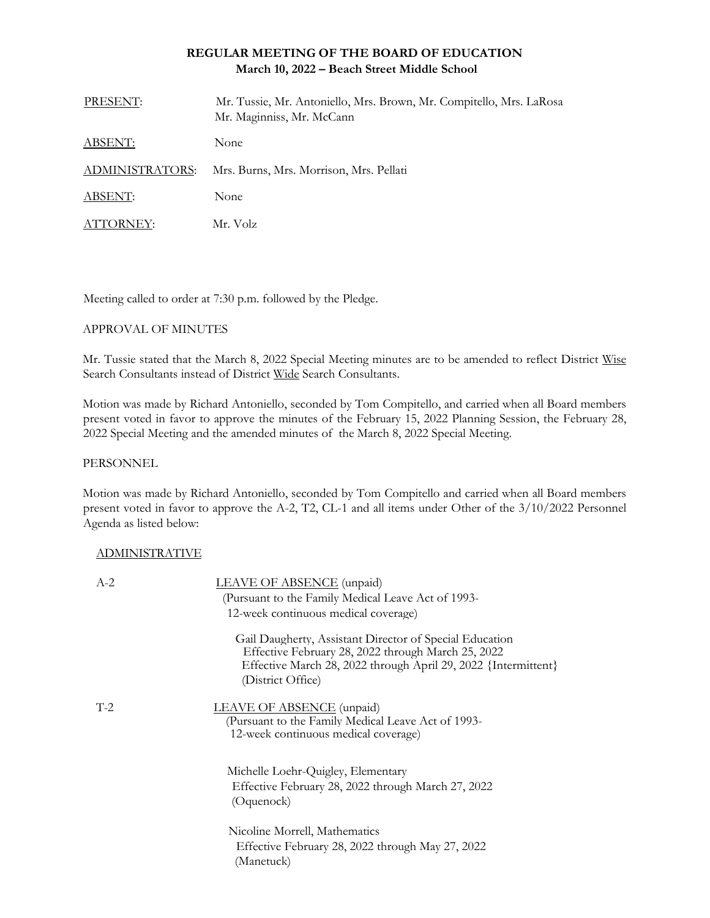# **REGULAR MEETING OF THE BOARD OF EDUCATION March 10, 2022 – Beach Street Middle School**

| PRESENT:        | Mr. Tussie, Mr. Antoniello, Mrs. Brown, Mr. Compitello, Mrs. LaRosa<br>Mr. Maginniss, Mr. McCann |
|-----------------|--------------------------------------------------------------------------------------------------|
| <b>ABSENT:</b>  | None                                                                                             |
| ADMINISTRATORS: | Mrs. Burns, Mrs. Morrison, Mrs. Pellati                                                          |
| ABSENT:         | None                                                                                             |
| ATTORNEY:       | Mr. Volz                                                                                         |

Meeting called to order at 7:30 p.m. followed by the Pledge.

### APPROVAL OF MINUTES

Mr. Tussie stated that the March 8, 2022 Special Meeting minutes are to be amended to reflect District Wise Search Consultants instead of District Wide Search Consultants.

Motion was made by Richard Antoniello, seconded by Tom Compitello, and carried when all Board members present voted in favor to approve the minutes of the February 15, 2022 Planning Session, the February 28, 2022 Special Meeting and the amended minutes of the March 8, 2022 Special Meeting.

### PERSONNEL

Motion was made by Richard Antoniello, seconded by Tom Compitello and carried when all Board members present voted in favor to approve the A-2, T2, CL-1 and all items under Other of the 3/10/2022 Personnel Agenda as listed below:

# ADMINISTRATIVE

| $A-2$ | LEAVE OF ABSENCE (unpaid)                                                                                                                                                                            |
|-------|------------------------------------------------------------------------------------------------------------------------------------------------------------------------------------------------------|
|       | (Pursuant to the Family Medical Leave Act of 1993-                                                                                                                                                   |
|       | 12-week continuous medical coverage)                                                                                                                                                                 |
|       | Gail Daugherty, Assistant Director of Special Education<br>Effective February 28, 2022 through March 25, 2022<br>Effective March 28, 2022 through April 29, 2022 {Intermittent}<br>(District Office) |
| $T-2$ | <b>LEAVE OF ABSENCE</b> (unpaid)<br>(Pursuant to the Family Medical Leave Act of 1993-<br>12-week continuous medical coverage)                                                                       |
|       | Michelle Loehr-Quigley, Elementary<br>Effective February 28, 2022 through March 27, 2022<br>(Oquenock)                                                                                               |
|       | Nicoline Morrell, Mathematics<br>Effective February 28, 2022 through May 27, 2022<br>(Manetuck)                                                                                                      |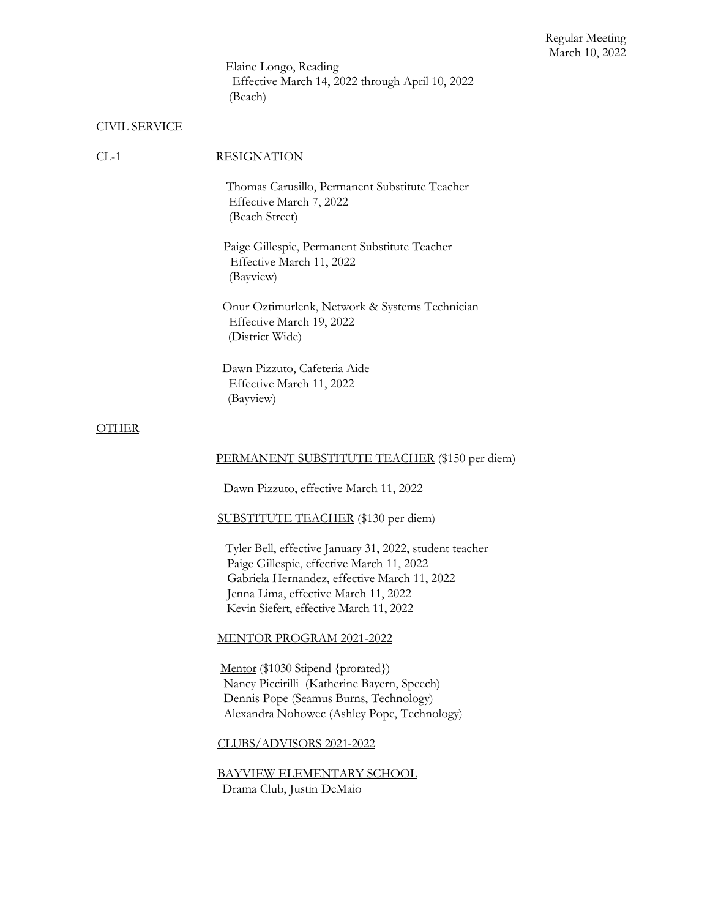Elaine Longo, Reading Effective March 14, 2022 through April 10, 2022 (Beach)

### CIVIL SERVICE

### CL-1 RESIGNATION

Thomas Carusillo, Permanent Substitute Teacher Effective March 7, 2022 (Beach Street)

 Paige Gillespie, Permanent Substitute Teacher Effective March 11, 2022 (Bayview)

 Onur Oztimurlenk, Network & Systems Technician Effective March 19, 2022 (District Wide)

 Dawn Pizzuto, Cafeteria Aide Effective March 11, 2022 (Bayview)

#### **OTHER**

### PERMANENT SUBSTITUTE TEACHER (\$150 per diem)

Dawn Pizzuto, effective March 11, 2022

SUBSTITUTE TEACHER (\$130 per diem)

 Tyler Bell, effective January 31, 2022, student teacher Paige Gillespie, effective March 11, 2022 Gabriela Hernandez, effective March 11, 2022 Jenna Lima, effective March 11, 2022 Kevin Siefert, effective March 11, 2022

#### MENTOR PROGRAM 2021-2022

Mentor (\$1030 Stipend {prorated}) Nancy Piccirilli (Katherine Bayern, Speech) Dennis Pope (Seamus Burns, Technology) Alexandra Nohowec (Ashley Pope, Technology)

CLUBS/ADVISORS 2021-2022

BAYVIEW ELEMENTARY SCHOOL Drama Club, Justin DeMaio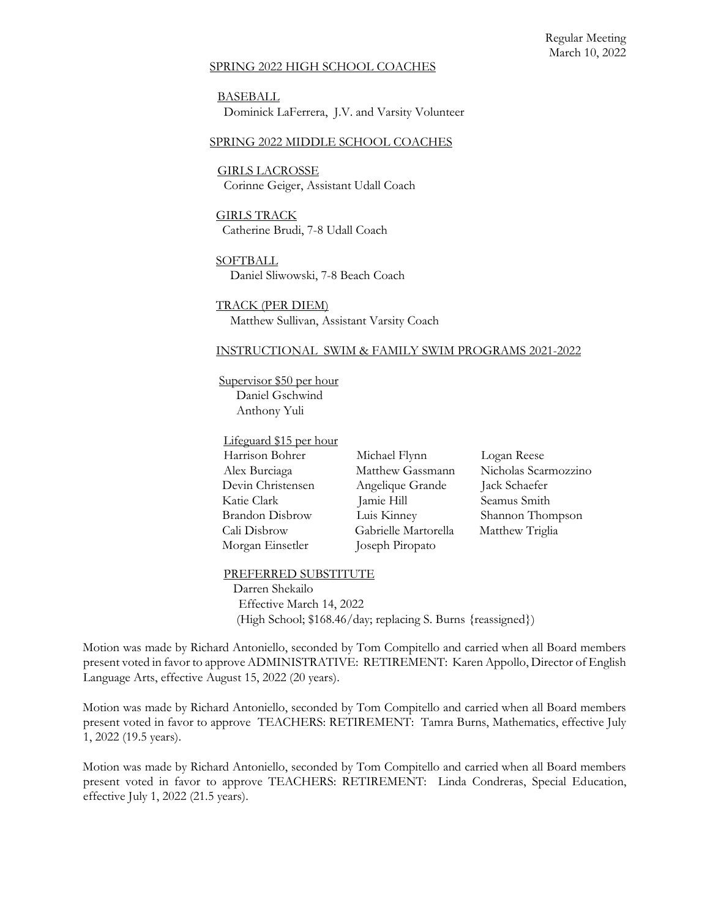### SPRING 2022 HIGH SCHOOL COACHES

BASEBALL Dominick LaFerrera, J.V. and Varsity Volunteer

### SPRING 2022 MIDDLE SCHOOL COACHES

GIRLS LACROSSE Corinne Geiger, Assistant Udall Coach

GIRLS TRACK Catherine Brudi, 7-8 Udall Coach

**SOFTBALL** Daniel Sliwowski, 7-8 Beach Coach

TRACK (PER DIEM) Matthew Sullivan, Assistant Varsity Coach

#### INSTRUCTIONAL SWIM & FAMILY SWIM PROGRAMS 2021-2022

Supervisor \$50 per hour Daniel Gschwind Anthony Yuli

Lifeguard \$15 per hour Harrison Bohrer Michael Flynn Logan Reese Devin Christensen Angelique Grande Jack Schaefer Katie Clark Jamie Hill Seamus Smith Brandon Disbrow Luis Kinney Shannon Thompson Cali Disbrow Gabrielle Martorella Matthew Triglia Morgan Einsetler Joseph Piropato

Alex Burciaga Matthew Gassmann Nicholas Scarmozzino

#### PREFERRED SUBSTITUTE

 Darren Shekailo Effective March 14, 2022 (High School; \$168.46/day; replacing S. Burns {reassigned})

Motion was made by Richard Antoniello, seconded by Tom Compitello and carried when all Board members present voted in favor to approve ADMINISTRATIVE: RETIREMENT: Karen Appollo, Director of English Language Arts, effective August 15, 2022 (20 years).

Motion was made by Richard Antoniello, seconded by Tom Compitello and carried when all Board members present voted in favor to approve TEACHERS: RETIREMENT: Tamra Burns, Mathematics, effective July 1, 2022 (19.5 years).

Motion was made by Richard Antoniello, seconded by Tom Compitello and carried when all Board members present voted in favor to approve TEACHERS: RETIREMENT: Linda Condreras, Special Education, effective July 1, 2022 (21.5 years).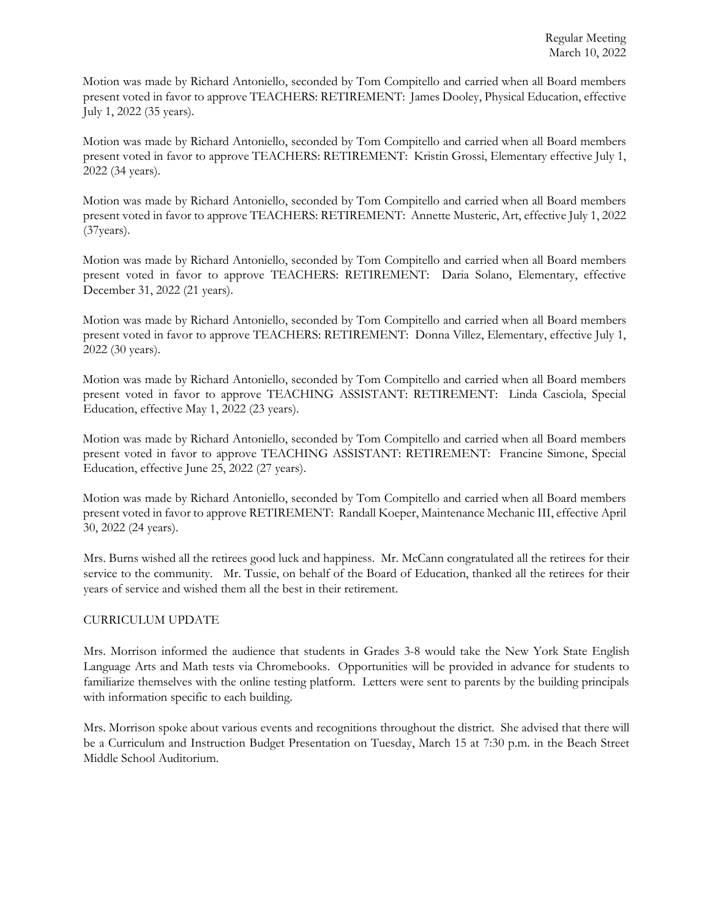Motion was made by Richard Antoniello, seconded by Tom Compitello and carried when all Board members present voted in favor to approve TEACHERS: RETIREMENT: James Dooley, Physical Education, effective July 1, 2022 (35 years).

Motion was made by Richard Antoniello, seconded by Tom Compitello and carried when all Board members present voted in favor to approve TEACHERS: RETIREMENT: Kristin Grossi, Elementary effective July 1, 2022 (34 years).

Motion was made by Richard Antoniello, seconded by Tom Compitello and carried when all Board members present voted in favor to approve TEACHERS: RETIREMENT: Annette Musteric, Art, effective July 1, 2022 (37years).

Motion was made by Richard Antoniello, seconded by Tom Compitello and carried when all Board members present voted in favor to approve TEACHERS: RETIREMENT: Daria Solano, Elementary, effective December 31, 2022 (21 years).

Motion was made by Richard Antoniello, seconded by Tom Compitello and carried when all Board members present voted in favor to approve TEACHERS: RETIREMENT: Donna Villez, Elementary, effective July 1, 2022 (30 years).

Motion was made by Richard Antoniello, seconded by Tom Compitello and carried when all Board members present voted in favor to approve TEACHING ASSISTANT: RETIREMENT: Linda Casciola, Special Education, effective May 1, 2022 (23 years).

Motion was made by Richard Antoniello, seconded by Tom Compitello and carried when all Board members present voted in favor to approve TEACHING ASSISTANT: RETIREMENT: Francine Simone, Special Education, effective June 25, 2022 (27 years).

Motion was made by Richard Antoniello, seconded by Tom Compitello and carried when all Board members present voted in favor to approve RETIREMENT: Randall Koeper, Maintenance Mechanic III, effective April 30, 2022 (24 years).

Mrs. Burns wished all the retirees good luck and happiness. Mr. McCann congratulated all the retirees for their service to the community. Mr. Tussie, on behalf of the Board of Education, thanked all the retirees for their years of service and wished them all the best in their retirement.

# CURRICULUM UPDATE

Mrs. Morrison informed the audience that students in Grades 3-8 would take the New York State English Language Arts and Math tests via Chromebooks. Opportunities will be provided in advance for students to familiarize themselves with the online testing platform. Letters were sent to parents by the building principals with information specific to each building.

Mrs. Morrison spoke about various events and recognitions throughout the district. She advised that there will be a Curriculum and Instruction Budget Presentation on Tuesday, March 15 at 7:30 p.m. in the Beach Street Middle School Auditorium.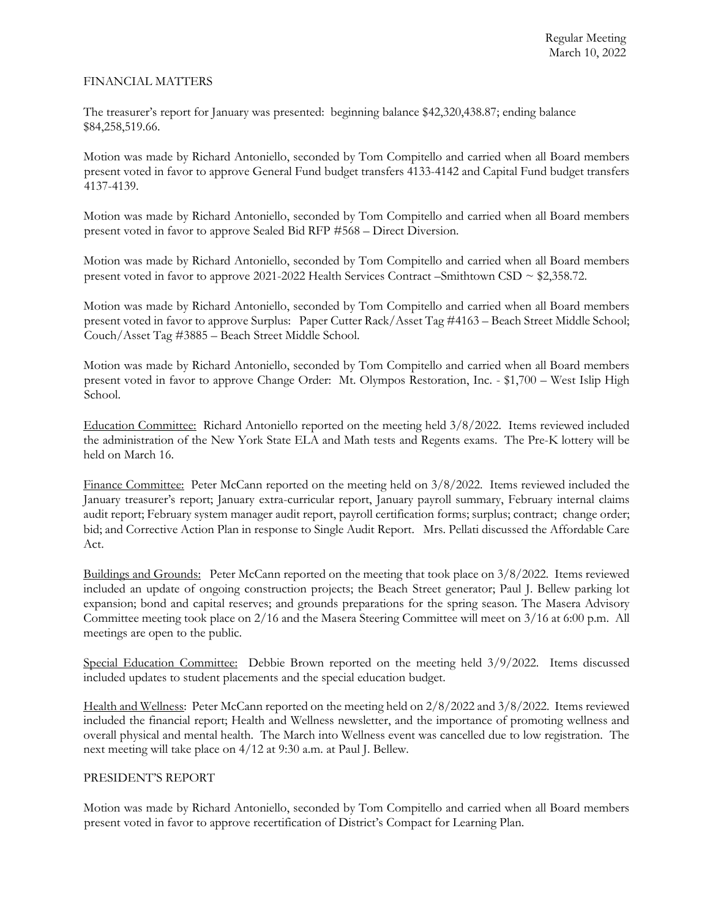### FINANCIAL MATTERS

The treasurer's report for January was presented: beginning balance \$42,320,438.87; ending balance \$84,258,519.66.

Motion was made by Richard Antoniello, seconded by Tom Compitello and carried when all Board members present voted in favor to approve General Fund budget transfers 4133-4142 and Capital Fund budget transfers 4137-4139.

Motion was made by Richard Antoniello, seconded by Tom Compitello and carried when all Board members present voted in favor to approve Sealed Bid RFP #568 – Direct Diversion.

Motion was made by Richard Antoniello, seconded by Tom Compitello and carried when all Board members present voted in favor to approve 2021-2022 Health Services Contract –Smithtown CSD ~ \$2,358.72.

Motion was made by Richard Antoniello, seconded by Tom Compitello and carried when all Board members present voted in favor to approve Surplus: Paper Cutter Rack/Asset Tag #4163 – Beach Street Middle School; Couch/Asset Tag #3885 – Beach Street Middle School.

Motion was made by Richard Antoniello, seconded by Tom Compitello and carried when all Board members present voted in favor to approve Change Order: Mt. Olympos Restoration, Inc. - \$1,700 – West Islip High School.

Education Committee: Richard Antoniello reported on the meeting held 3/8/2022. Items reviewed included the administration of the New York State ELA and Math tests and Regents exams. The Pre-K lottery will be held on March 16.

Finance Committee: Peter McCann reported on the meeting held on 3/8/2022. Items reviewed included the January treasurer's report; January extra-curricular report, January payroll summary, February internal claims audit report; February system manager audit report, payroll certification forms; surplus; contract; change order; bid; and Corrective Action Plan in response to Single Audit Report. Mrs. Pellati discussed the Affordable Care Act.

Buildings and Grounds: Peter McCann reported on the meeting that took place on 3/8/2022*.* Items reviewed included an update of ongoing construction projects; the Beach Street generator; Paul J. Bellew parking lot expansion; bond and capital reserves; and grounds preparations for the spring season. The Masera Advisory Committee meeting took place on 2/16 and the Masera Steering Committee will meet on 3/16 at 6:00 p.m. All meetings are open to the public.

Special Education Committee: Debbie Brown reported on the meeting held  $3/9/2022$ . Items discussed included updates to student placements and the special education budget.

Health and Wellness: Peter McCann reported on the meeting held on 2/8/2022 and 3/8/2022. Items reviewed included the financial report; Health and Wellness newsletter, and the importance of promoting wellness and overall physical and mental health. The March into Wellness event was cancelled due to low registration. The next meeting will take place on 4/12 at 9:30 a.m. at Paul J. Bellew.

# PRESIDENT'S REPORT

Motion was made by Richard Antoniello, seconded by Tom Compitello and carried when all Board members present voted in favor to approve recertification of District's Compact for Learning Plan.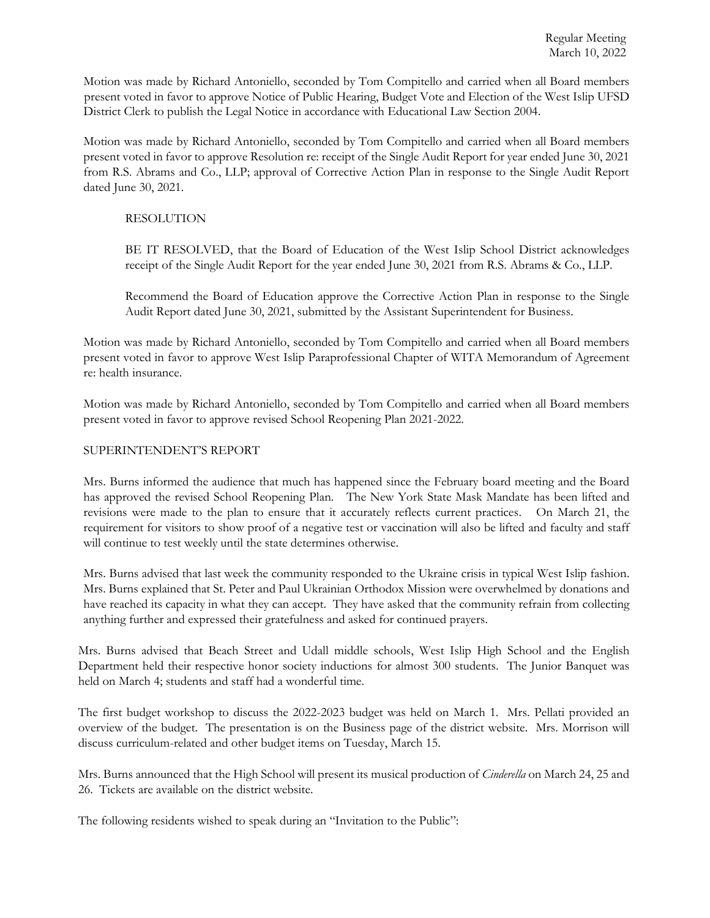Motion was made by Richard Antoniello, seconded by Tom Compitello and carried when all Board members present voted in favor to approve Notice of Public Hearing, Budget Vote and Election of the West Islip UFSD District Clerk to publish the Legal Notice in accordance with Educational Law Section 2004.

Motion was made by Richard Antoniello, seconded by Tom Compitello and carried when all Board members present voted in favor to approve Resolution re: receipt of the Single Audit Report for year ended June 30, 2021 from R.S. Abrams and Co., LLP; approval of Corrective Action Plan in response to the Single Audit Report dated June 30, 2021.

# RESOLUTION

BE IT RESOLVED, that the Board of Education of the West Islip School District acknowledges receipt of the Single Audit Report for the year ended June 30, 2021 from R.S. Abrams & Co., LLP.

Recommend the Board of Education approve the Corrective Action Plan in response to the Single Audit Report dated June 30, 2021, submitted by the Assistant Superintendent for Business.

Motion was made by Richard Antoniello, seconded by Tom Compitello and carried when all Board members present voted in favor to approve West Islip Paraprofessional Chapter of WITA Memorandum of Agreement re: health insurance.

Motion was made by Richard Antoniello, seconded by Tom Compitello and carried when all Board members present voted in favor to approve revised School Reopening Plan 2021-2022.

# SUPERINTENDENT'S REPORT

Mrs. Burns informed the audience that much has happened since the February board meeting and the Board has approved the revised School Reopening Plan. The New York State Mask Mandate has been lifted and revisions were made to the plan to ensure that it accurately reflects current practices. On March 21, the requirement for visitors to show proof of a negative test or vaccination will also be lifted and faculty and staff will continue to test weekly until the state determines otherwise.

Mrs. Burns advised that last week the community responded to the Ukraine crisis in typical West Islip fashion. Mrs. Burns explained that St. Peter and Paul Ukrainian Orthodox Mission were overwhelmed by donations and have reached its capacity in what they can accept. They have asked that the community refrain from collecting anything further and expressed their gratefulness and asked for continued prayers.

Mrs. Burns advised that Beach Street and Udall middle schools, West Islip High School and the English Department held their respective honor society inductions for almost 300 students. The Junior Banquet was held on March 4; students and staff had a wonderful time.

The first budget workshop to discuss the 2022-2023 budget was held on March 1. Mrs. Pellati provided an overview of the budget. The presentation is on the Business page of the district website. Mrs. Morrison will discuss curriculum-related and other budget items on Tuesday, March 15.

Mrs. Burns announced that the High School will present its musical production of *Cinderella* on March 24, 25 and 26. Tickets are available on the district website.

The following residents wished to speak during an "Invitation to the Public":